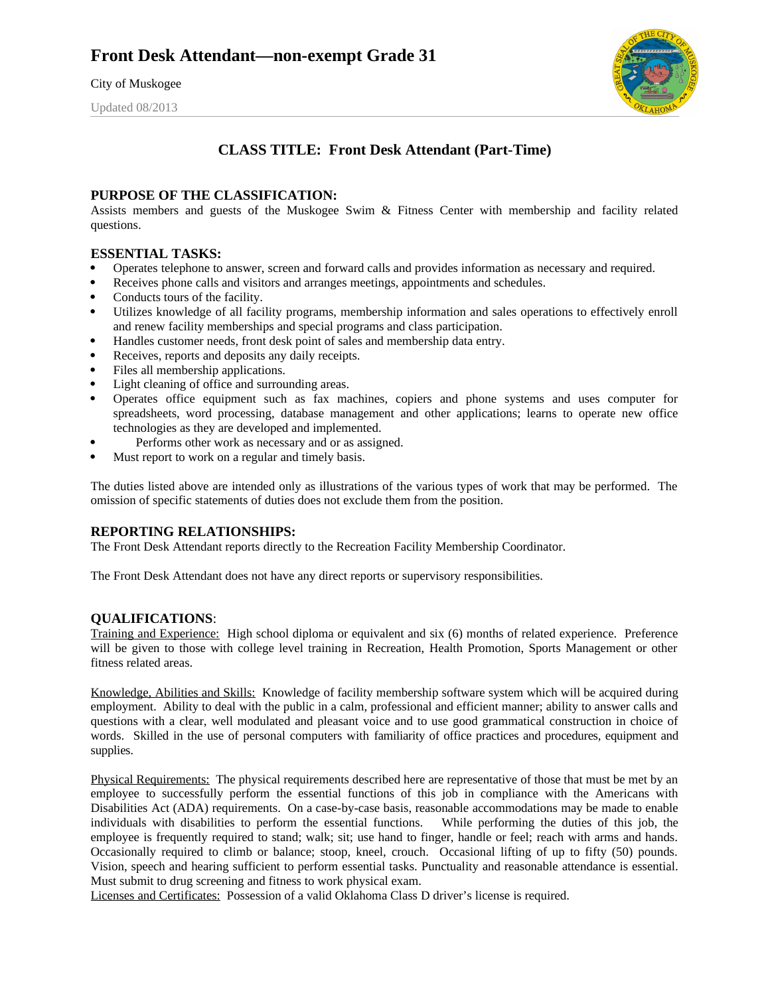City of Muskogee

Updated 08/2013



## **CLASS TITLE: Front Desk Attendant (Part-Time)**

## **PURPOSE OF THE CLASSIFICATION:**

Assists members and guests of the Muskogee Swim & Fitness Center with membership and facility related questions.

## **ESSENTIAL TASKS:**

- Operates telephone to answer, screen and forward calls and provides information as necessary and required.
- Receives phone calls and visitors and arranges meetings, appointments and schedules.
- Conducts tours of the facility.
- Utilizes knowledge of all facility programs, membership information and sales operations to effectively enroll and renew facility memberships and special programs and class participation.
- Handles customer needs, front desk point of sales and membership data entry.
- Receives, reports and deposits any daily receipts.
- Files all membership applications.
- Light cleaning of office and surrounding areas.
- Operates office equipment such as fax machines, copiers and phone systems and uses computer for spreadsheets, word processing, database management and other applications; learns to operate new office technologies as they are developed and implemented.
- Performs other work as necessary and or as assigned.
- Must report to work on a regular and timely basis.

The duties listed above are intended only as illustrations of the various types of work that may be performed. The omission of specific statements of duties does not exclude them from the position.

## **REPORTING RELATIONSHIPS:**

The Front Desk Attendant reports directly to the Recreation Facility Membership Coordinator.

The Front Desk Attendant does not have any direct reports or supervisory responsibilities.

## **QUALIFICATIONS**:

Training and Experience: High school diploma or equivalent and six (6) months of related experience. Preference will be given to those with college level training in Recreation, Health Promotion, Sports Management or other fitness related areas.

Knowledge, Abilities and Skills: Knowledge of facility membership software system which will be acquired during employment. Ability to deal with the public in a calm, professional and efficient manner; ability to answer calls and questions with a clear, well modulated and pleasant voice and to use good grammatical construction in choice of words. Skilled in the use of personal computers with familiarity of office practices and procedures, equipment and supplies.

Physical Requirements: The physical requirements described here are representative of those that must be met by an employee to successfully perform the essential functions of this job in compliance with the Americans with Disabilities Act (ADA) requirements. On a case-by-case basis, reasonable accommodations may be made to enable individuals with disabilities to perform the essential functions. While performing the duties of this job, the employee is frequently required to stand; walk; sit; use hand to finger, handle or feel; reach with arms and hands. Occasionally required to climb or balance; stoop, kneel, crouch. Occasional lifting of up to fifty (50) pounds. Vision, speech and hearing sufficient to perform essential tasks. Punctuality and reasonable attendance is essential. Must submit to drug screening and fitness to work physical exam.

Licenses and Certificates: Possession of a valid Oklahoma Class D driver's license is required.